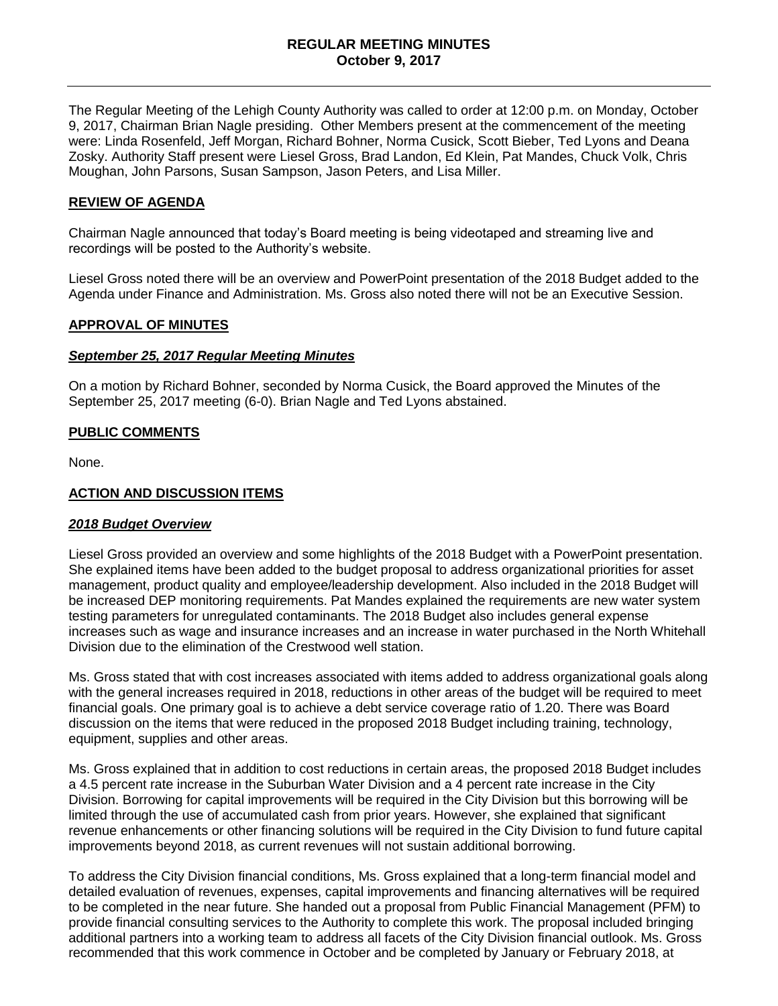The Regular Meeting of the Lehigh County Authority was called to order at 12:00 p.m. on Monday, October 9, 2017, Chairman Brian Nagle presiding. Other Members present at the commencement of the meeting were: Linda Rosenfeld, Jeff Morgan, Richard Bohner, Norma Cusick, Scott Bieber, Ted Lyons and Deana Zosky. Authority Staff present were Liesel Gross, Brad Landon, Ed Klein, Pat Mandes, Chuck Volk, Chris Moughan, John Parsons, Susan Sampson, Jason Peters, and Lisa Miller.

### **REVIEW OF AGENDA**

Chairman Nagle announced that today's Board meeting is being videotaped and streaming live and recordings will be posted to the Authority's website.

Liesel Gross noted there will be an overview and PowerPoint presentation of the 2018 Budget added to the Agenda under Finance and Administration. Ms. Gross also noted there will not be an Executive Session.

#### **APPROVAL OF MINUTES**

#### *September 25, 2017 Regular Meeting Minutes*

On a motion by Richard Bohner, seconded by Norma Cusick, the Board approved the Minutes of the September 25, 2017 meeting (6-0). Brian Nagle and Ted Lyons abstained.

#### **PUBLIC COMMENTS**

None.

#### **ACTION AND DISCUSSION ITEMS**

#### *2018 Budget Overview*

Liesel Gross provided an overview and some highlights of the 2018 Budget with a PowerPoint presentation. She explained items have been added to the budget proposal to address organizational priorities for asset management, product quality and employee/leadership development. Also included in the 2018 Budget will be increased DEP monitoring requirements. Pat Mandes explained the requirements are new water system testing parameters for unregulated contaminants. The 2018 Budget also includes general expense increases such as wage and insurance increases and an increase in water purchased in the North Whitehall Division due to the elimination of the Crestwood well station.

Ms. Gross stated that with cost increases associated with items added to address organizational goals along with the general increases required in 2018, reductions in other areas of the budget will be required to meet financial goals. One primary goal is to achieve a debt service coverage ratio of 1.20. There was Board discussion on the items that were reduced in the proposed 2018 Budget including training, technology, equipment, supplies and other areas.

Ms. Gross explained that in addition to cost reductions in certain areas, the proposed 2018 Budget includes a 4.5 percent rate increase in the Suburban Water Division and a 4 percent rate increase in the City Division. Borrowing for capital improvements will be required in the City Division but this borrowing will be limited through the use of accumulated cash from prior years. However, she explained that significant revenue enhancements or other financing solutions will be required in the City Division to fund future capital improvements beyond 2018, as current revenues will not sustain additional borrowing.

To address the City Division financial conditions, Ms. Gross explained that a long-term financial model and detailed evaluation of revenues, expenses, capital improvements and financing alternatives will be required to be completed in the near future. She handed out a proposal from Public Financial Management (PFM) to provide financial consulting services to the Authority to complete this work. The proposal included bringing additional partners into a working team to address all facets of the City Division financial outlook. Ms. Gross recommended that this work commence in October and be completed by January or February 2018, at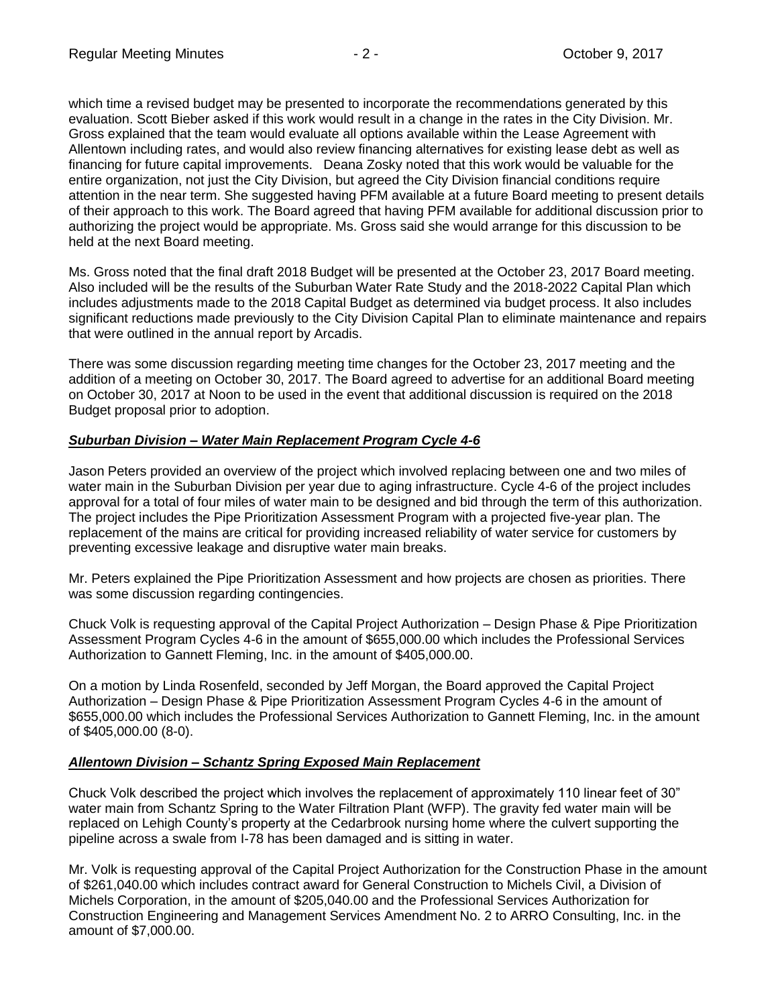which time a revised budget may be presented to incorporate the recommendations generated by this evaluation. Scott Bieber asked if this work would result in a change in the rates in the City Division. Mr. Gross explained that the team would evaluate all options available within the Lease Agreement with Allentown including rates, and would also review financing alternatives for existing lease debt as well as financing for future capital improvements. Deana Zosky noted that this work would be valuable for the entire organization, not just the City Division, but agreed the City Division financial conditions require attention in the near term. She suggested having PFM available at a future Board meeting to present details of their approach to this work. The Board agreed that having PFM available for additional discussion prior to authorizing the project would be appropriate. Ms. Gross said she would arrange for this discussion to be held at the next Board meeting.

Ms. Gross noted that the final draft 2018 Budget will be presented at the October 23, 2017 Board meeting. Also included will be the results of the Suburban Water Rate Study and the 2018-2022 Capital Plan which includes adjustments made to the 2018 Capital Budget as determined via budget process. It also includes significant reductions made previously to the City Division Capital Plan to eliminate maintenance and repairs that were outlined in the annual report by Arcadis.

There was some discussion regarding meeting time changes for the October 23, 2017 meeting and the addition of a meeting on October 30, 2017. The Board agreed to advertise for an additional Board meeting on October 30, 2017 at Noon to be used in the event that additional discussion is required on the 2018 Budget proposal prior to adoption.

### *Suburban Division – Water Main Replacement Program Cycle 4-6*

Jason Peters provided an overview of the project which involved replacing between one and two miles of water main in the Suburban Division per year due to aging infrastructure. Cycle 4-6 of the project includes approval for a total of four miles of water main to be designed and bid through the term of this authorization. The project includes the Pipe Prioritization Assessment Program with a projected five-year plan. The replacement of the mains are critical for providing increased reliability of water service for customers by preventing excessive leakage and disruptive water main breaks.

Mr. Peters explained the Pipe Prioritization Assessment and how projects are chosen as priorities. There was some discussion regarding contingencies.

Chuck Volk is requesting approval of the Capital Project Authorization – Design Phase & Pipe Prioritization Assessment Program Cycles 4-6 in the amount of \$655,000.00 which includes the Professional Services Authorization to Gannett Fleming, Inc. in the amount of \$405,000.00.

On a motion by Linda Rosenfeld, seconded by Jeff Morgan, the Board approved the Capital Project Authorization – Design Phase & Pipe Prioritization Assessment Program Cycles 4-6 in the amount of \$655,000.00 which includes the Professional Services Authorization to Gannett Fleming, Inc. in the amount of \$405,000.00 (8-0).

#### *Allentown Division – Schantz Spring Exposed Main Replacement*

Chuck Volk described the project which involves the replacement of approximately 110 linear feet of 30" water main from Schantz Spring to the Water Filtration Plant (WFP). The gravity fed water main will be replaced on Lehigh County's property at the Cedarbrook nursing home where the culvert supporting the pipeline across a swale from I-78 has been damaged and is sitting in water.

Mr. Volk is requesting approval of the Capital Project Authorization for the Construction Phase in the amount of \$261,040.00 which includes contract award for General Construction to Michels Civil, a Division of Michels Corporation, in the amount of \$205,040.00 and the Professional Services Authorization for Construction Engineering and Management Services Amendment No. 2 to ARRO Consulting, Inc. in the amount of \$7,000.00.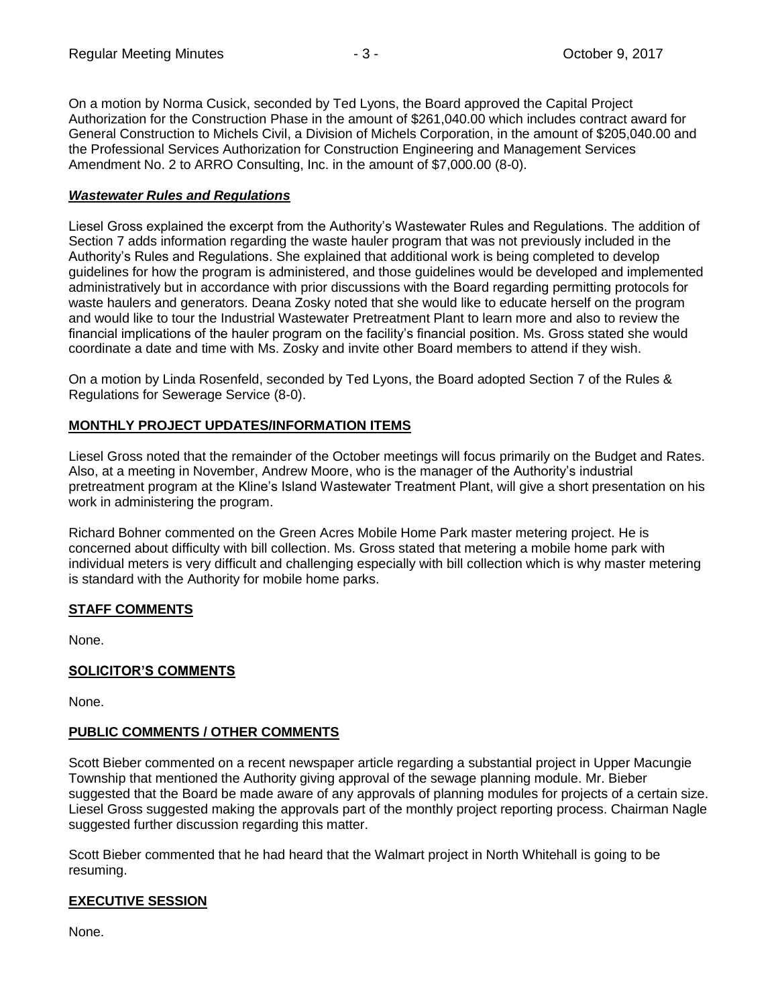On a motion by Norma Cusick, seconded by Ted Lyons, the Board approved the Capital Project Authorization for the Construction Phase in the amount of \$261,040.00 which includes contract award for General Construction to Michels Civil, a Division of Michels Corporation, in the amount of \$205,040.00 and the Professional Services Authorization for Construction Engineering and Management Services Amendment No. 2 to ARRO Consulting, Inc. in the amount of \$7,000.00 (8-0).

## *Wastewater Rules and Regulations*

Liesel Gross explained the excerpt from the Authority's Wastewater Rules and Regulations. The addition of Section 7 adds information regarding the waste hauler program that was not previously included in the Authority's Rules and Regulations. She explained that additional work is being completed to develop guidelines for how the program is administered, and those guidelines would be developed and implemented administratively but in accordance with prior discussions with the Board regarding permitting protocols for waste haulers and generators. Deana Zosky noted that she would like to educate herself on the program and would like to tour the Industrial Wastewater Pretreatment Plant to learn more and also to review the financial implications of the hauler program on the facility's financial position. Ms. Gross stated she would coordinate a date and time with Ms. Zosky and invite other Board members to attend if they wish.

On a motion by Linda Rosenfeld, seconded by Ted Lyons, the Board adopted Section 7 of the Rules & Regulations for Sewerage Service (8-0).

## **MONTHLY PROJECT UPDATES/INFORMATION ITEMS**

Liesel Gross noted that the remainder of the October meetings will focus primarily on the Budget and Rates. Also, at a meeting in November, Andrew Moore, who is the manager of the Authority's industrial pretreatment program at the Kline's Island Wastewater Treatment Plant, will give a short presentation on his work in administering the program.

Richard Bohner commented on the Green Acres Mobile Home Park master metering project. He is concerned about difficulty with bill collection. Ms. Gross stated that metering a mobile home park with individual meters is very difficult and challenging especially with bill collection which is why master metering is standard with the Authority for mobile home parks.

## **STAFF COMMENTS**

None.

## **SOLICITOR'S COMMENTS**

None.

## **PUBLIC COMMENTS / OTHER COMMENTS**

Scott Bieber commented on a recent newspaper article regarding a substantial project in Upper Macungie Township that mentioned the Authority giving approval of the sewage planning module. Mr. Bieber suggested that the Board be made aware of any approvals of planning modules for projects of a certain size. Liesel Gross suggested making the approvals part of the monthly project reporting process. Chairman Nagle suggested further discussion regarding this matter.

Scott Bieber commented that he had heard that the Walmart project in North Whitehall is going to be resuming.

## **EXECUTIVE SESSION**

None.